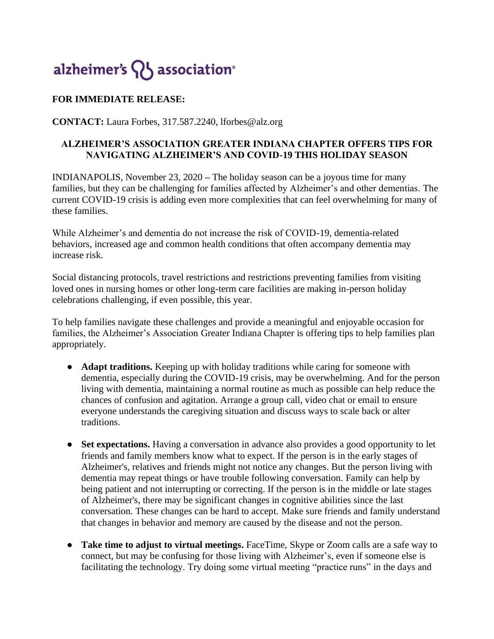## alzheimer's  $\{ \}$  association<sup>®</sup>

## **FOR IMMEDIATE RELEASE:**

**CONTACT:** Laura Forbes, 317.587.2240, lforbes@alz.org

## **ALZHEIMER'S ASSOCIATION GREATER INDIANA CHAPTER OFFERS TIPS FOR NAVIGATING ALZHEIMER'S AND COVID-19 THIS HOLIDAY SEASON**

INDIANAPOLIS, November 23, 2020 **–** The holiday season can be a joyous time for many families, but they can be challenging for families affected by Alzheimer's and other dementias. The current COVID-19 crisis is adding even more complexities that can feel overwhelming for many of these families.

While Alzheimer's and dementia do not increase the risk of COVID-19, dementia-related behaviors, increased age and common health conditions that often accompany dementia may increase risk.

Social distancing protocols, travel restrictions and restrictions preventing families from visiting loved ones in nursing homes or other long-term care facilities are making in-person holiday celebrations challenging, if even possible, this year.

To help families navigate these challenges and provide a meaningful and enjoyable occasion for families, the Alzheimer's Association Greater Indiana Chapter is offering tips to help families plan appropriately.

- **Adapt traditions.** Keeping up with holiday traditions while caring for someone with dementia, especially during the COVID-19 crisis, may be overwhelming. And for the person living with dementia, maintaining a normal routine as much as possible can help reduce the chances of confusion and agitation. Arrange a group call, video chat or email to ensure everyone understands the caregiving situation and discuss ways to scale back or alter traditions.
- Set expectations. Having a conversation in advance also provides a good opportunity to let friends and family members know what to expect. If the person is in the early stages of Alzheimer's, relatives and friends might not notice any changes. But the person living with dementia may repeat things or have trouble following conversation. Family can help by being patient and not interrupting or correcting. If the person is in the middle or late stages of Alzheimer's, there may be significant changes in cognitive abilities since the last conversation. These changes can be hard to accept. Make sure friends and family understand that changes in behavior and memory are caused by the disease and not the person.
- **Take time to adjust to virtual meetings.** FaceTime, Skype or Zoom calls are a safe way to connect, but may be confusing for those living with Alzheimer's, even if someone else is facilitating the technology. Try doing some virtual meeting "practice runs" in the days and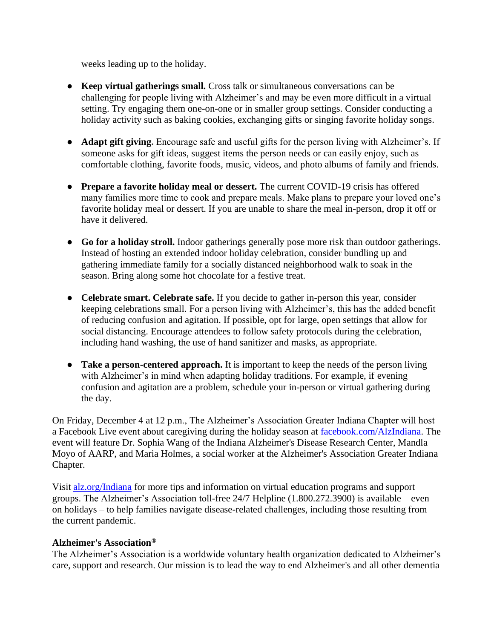weeks leading up to the holiday.

- **Keep virtual gatherings small.** Cross talk or simultaneous conversations can be challenging for people living with Alzheimer's and may be even more difficult in a virtual setting. Try engaging them one-on-one or in smaller group settings. Consider conducting a holiday activity such as baking cookies, exchanging gifts or singing favorite holiday songs.
- **Adapt gift giving.** Encourage safe and useful gifts for the person living with Alzheimer's. If someone asks for gift ideas, suggest items the person needs or can easily enjoy, such as comfortable clothing, favorite foods, music, videos, and photo albums of family and friends.
- **Prepare a favorite holiday meal or dessert.** The current COVID-19 crisis has offered many families more time to cook and prepare meals. Make plans to prepare your loved one's favorite holiday meal or dessert. If you are unable to share the meal in-person, drop it off or have it delivered.
- **Go for a holiday stroll.** Indoor gatherings generally pose more risk than outdoor gatherings. Instead of hosting an extended indoor holiday celebration, consider bundling up and gathering immediate family for a socially distanced neighborhood walk to soak in the season. Bring along some hot chocolate for a festive treat.
- **Celebrate smart. Celebrate safe.** If you decide to gather in-person this year, consider keeping celebrations small. For a person living with Alzheimer's, this has the added benefit of reducing confusion and agitation. If possible, opt for large, open settings that allow for social distancing. Encourage attendees to follow safety protocols during the celebration, including hand washing, the use of hand sanitizer and masks, as appropriate.
- **Take a person-centered approach.** It is important to keep the needs of the person living with Alzheimer's in mind when adapting holiday traditions. For example, if evening confusion and agitation are a problem, schedule your in-person or virtual gathering during the day.

On Friday, December 4 at 12 p.m., The Alzheimer's Association Greater Indiana Chapter will host a Facebook Live event about caregiving during the holiday season at [facebook.com/AlzIndiana.](https://www.facebook.com/AlzIndiana/) The event will feature Dr. Sophia Wang of the Indiana Alzheimer's Disease Research Center, Mandla Moyo of AARP, and Maria Holmes, a social worker at the Alzheimer's Association Greater Indiana Chapter.

Visit [alz.org/Indiana](http://alz.org/indiana) for more tips and information on virtual education programs and support groups. The Alzheimer's Association toll-free 24/7 Helpline (1.800.272.3900) is available – even on holidays – to help families navigate disease-related challenges, including those resulting from the current pandemic.

## **Alzheimer's Association®**

The Alzheimer's Association is a worldwide voluntary health organization dedicated to Alzheimer's care, support and research. Our mission is to lead the way to end Alzheimer's and all other dementia